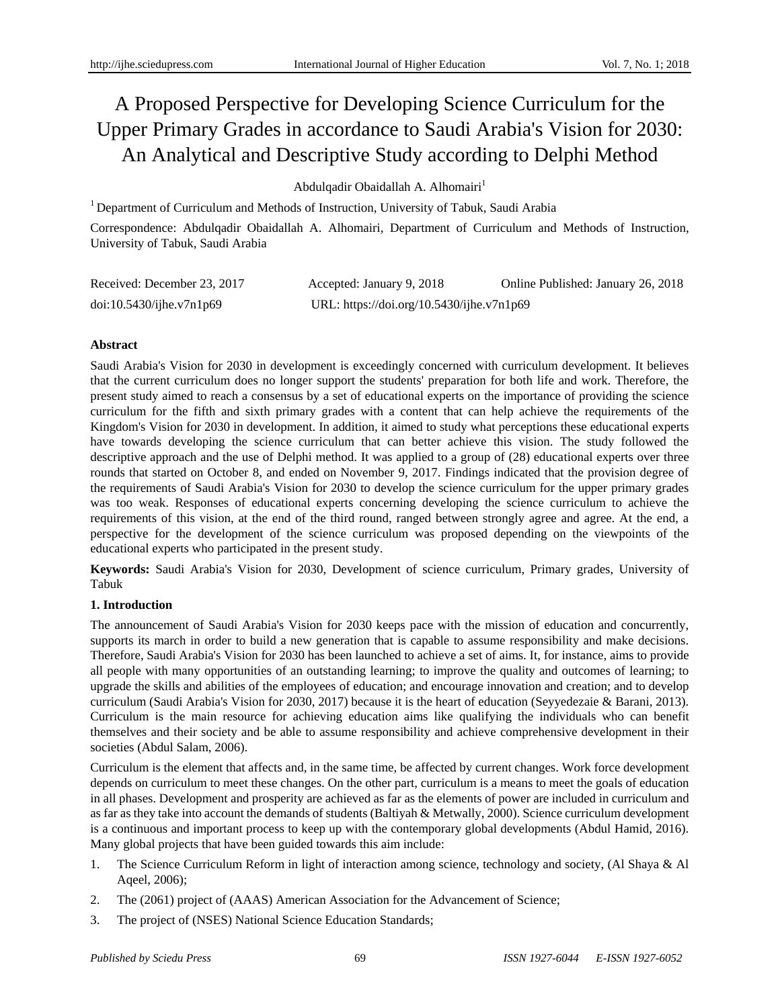# A Proposed Perspective for Developing Science Curriculum for the Upper Primary Grades in accordance to Saudi Arabia's Vision for 2030: An Analytical and Descriptive Study according to Delphi Method

Abdulqadir Obaidallah A. Alhomairi<sup>1</sup>

<sup>1</sup> Department of Curriculum and Methods of Instruction, University of Tabuk, Saudi Arabia

Correspondence: Abdulqadir Obaidallah A. Alhomairi, Department of Curriculum and Methods of Instruction, University of Tabuk, Saudi Arabia

| Received: December 23, 2017 | Accepted: January 9, 2018                 | Online Published: January 26, 2018 |
|-----------------------------|-------------------------------------------|------------------------------------|
| doi:10.5430/ijhe.v7n1p69    | URL: https://doi.org/10.5430/ijhe.v7n1p69 |                                    |

# **Abstract**

Saudi Arabia's Vision for 2030 in development is exceedingly concerned with curriculum development. It believes that the current curriculum does no longer support the students' preparation for both life and work. Therefore, the present study aimed to reach a consensus by a set of educational experts on the importance of providing the science curriculum for the fifth and sixth primary grades with a content that can help achieve the requirements of the Kingdom's Vision for 2030 in development. In addition, it aimed to study what perceptions these educational experts have towards developing the science curriculum that can better achieve this vision. The study followed the descriptive approach and the use of Delphi method. It was applied to a group of (28) educational experts over three rounds that started on October 8, and ended on November 9, 2017. Findings indicated that the provision degree of the requirements of Saudi Arabia's Vision for 2030 to develop the science curriculum for the upper primary grades was too weak. Responses of educational experts concerning developing the science curriculum to achieve the requirements of this vision, at the end of the third round, ranged between strongly agree and agree. At the end, a perspective for the development of the science curriculum was proposed depending on the viewpoints of the educational experts who participated in the present study.

**Keywords:** Saudi Arabia's Vision for 2030, Development of science curriculum, Primary grades, University of Tabuk

# **1. Introduction**

The announcement of Saudi Arabia's Vision for 2030 keeps pace with the mission of education and concurrently, supports its march in order to build a new generation that is capable to assume responsibility and make decisions. Therefore, Saudi Arabia's Vision for 2030 has been launched to achieve a set of aims. It, for instance, aims to provide all people with many opportunities of an outstanding learning; to improve the quality and outcomes of learning; to upgrade the skills and abilities of the employees of education; and encourage innovation and creation; and to develop curriculum (Saudi Arabia's Vision for 2030, 2017) because it is the heart of education (Seyyedezaie & Barani, 2013). Curriculum is the main resource for achieving education aims like qualifying the individuals who can benefit themselves and their society and be able to assume responsibility and achieve comprehensive development in their societies (Abdul Salam, 2006).

Curriculum is the element that affects and, in the same time, be affected by current changes. Work force development depends on curriculum to meet these changes. On the other part, curriculum is a means to meet the goals of education in all phases. Development and prosperity are achieved as far as the elements of power are included in curriculum and as far as they take into account the demands of students (Baltiyah & Metwally, 2000). Science curriculum development is a continuous and important process to keep up with the contemporary global developments (Abdul Hamid, 2016). Many global projects that have been guided towards this aim include:

- 1. The Science Curriculum Reform in light of interaction among science, technology and society, (Al Shaya & Al Aqeel, 2006);
- 2. The (2061) project of (AAAS) American Association for the Advancement of Science;
- 3. The project of (NSES) National Science Education Standards;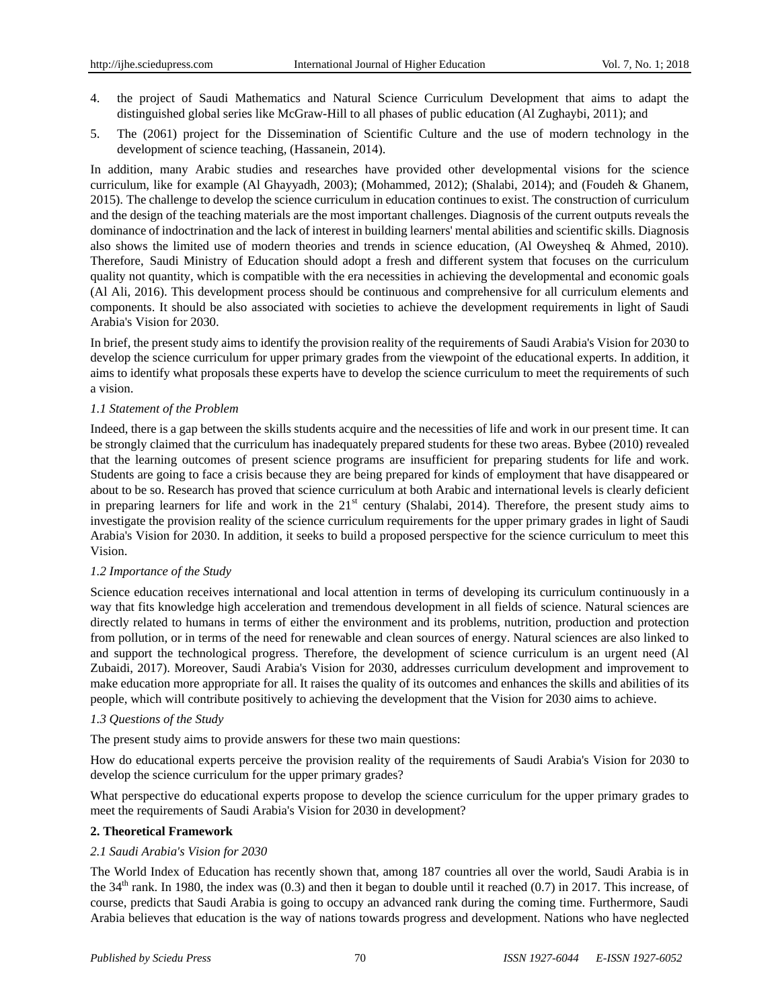- 4. the project of Saudi Mathematics and Natural Science Curriculum Development that aims to adapt the distinguished global series like McGraw-Hill to all phases of public education (Al Zughaybi, 2011); and
- 5. The (2061) project for the Dissemination of Scientific Culture and the use of modern technology in the development of science teaching, (Hassanein, 2014).

In addition, many Arabic studies and researches have provided other developmental visions for the science curriculum, like for example (Al Ghayyadh, 2003); (Mohammed, 2012); (Shalabi, 2014); and (Foudeh & Ghanem, 2015). The challenge to develop the science curriculum in education continues to exist. The construction of curriculum and the design of the teaching materials are the most important challenges. Diagnosis of the current outputs reveals the dominance of indoctrination and the lack of interest in building learners' mental abilities and scientific skills. Diagnosis also shows the limited use of modern theories and trends in science education, (Al Oweysheq & Ahmed, 2010). Therefore, Saudi Ministry of Education should adopt a fresh and different system that focuses on the curriculum quality not quantity, which is compatible with the era necessities in achieving the developmental and economic goals (Al Ali, 2016). This development process should be continuous and comprehensive for all curriculum elements and components. It should be also associated with societies to achieve the development requirements in light of Saudi Arabia's Vision for 2030.

In brief, the present study aims to identify the provision reality of the requirements of Saudi Arabia's Vision for 2030 to develop the science curriculum for upper primary grades from the viewpoint of the educational experts. In addition, it aims to identify what proposals these experts have to develop the science curriculum to meet the requirements of such a vision.

## *1.1 Statement of the Problem*

Indeed, there is a gap between the skills students acquire and the necessities of life and work in our present time. It can be strongly claimed that the curriculum has inadequately prepared students for these two areas. Bybee (2010) revealed that the learning outcomes of present science programs are insufficient for preparing students for life and work. Students are going to face a crisis because they are being prepared for kinds of employment that have disappeared or about to be so. Research has proved that science curriculum at both Arabic and international levels is clearly deficient in preparing learners for life and work in the  $21<sup>st</sup>$  century (Shalabi, 2014). Therefore, the present study aims to investigate the provision reality of the science curriculum requirements for the upper primary grades in light of Saudi Arabia's Vision for 2030. In addition, it seeks to build a proposed perspective for the science curriculum to meet this Vision.

## *1.2 Importance of the Study*

Science education receives international and local attention in terms of developing its curriculum continuously in a way that fits knowledge high acceleration and tremendous development in all fields of science. Natural sciences are directly related to humans in terms of either the environment and its problems, nutrition, production and protection from pollution, or in terms of the need for renewable and clean sources of energy. Natural sciences are also linked to and support the technological progress. Therefore, the development of science curriculum is an urgent need (Al Zubaidi, 2017). Moreover, Saudi Arabia's Vision for 2030, addresses curriculum development and improvement to make education more appropriate for all. It raises the quality of its outcomes and enhances the skills and abilities of its people, which will contribute positively to achieving the development that the Vision for 2030 aims to achieve.

## *1.3 Questions of the Study*

The present study aims to provide answers for these two main questions:

How do educational experts perceive the provision reality of the requirements of Saudi Arabia's Vision for 2030 to develop the science curriculum for the upper primary grades?

What perspective do educational experts propose to develop the science curriculum for the upper primary grades to meet the requirements of Saudi Arabia's Vision for 2030 in development?

## **2. Theoretical Framework**

## *2.1 Saudi Arabia's Vision for 2030*

The World Index of Education has recently shown that, among 187 countries all over the world, Saudi Arabia is in the  $34<sup>th</sup>$  rank. In 1980, the index was (0.3) and then it began to double until it reached (0.7) in 2017. This increase, of course, predicts that Saudi Arabia is going to occupy an advanced rank during the coming time. Furthermore, Saudi Arabia believes that education is the way of nations towards progress and development. Nations who have neglected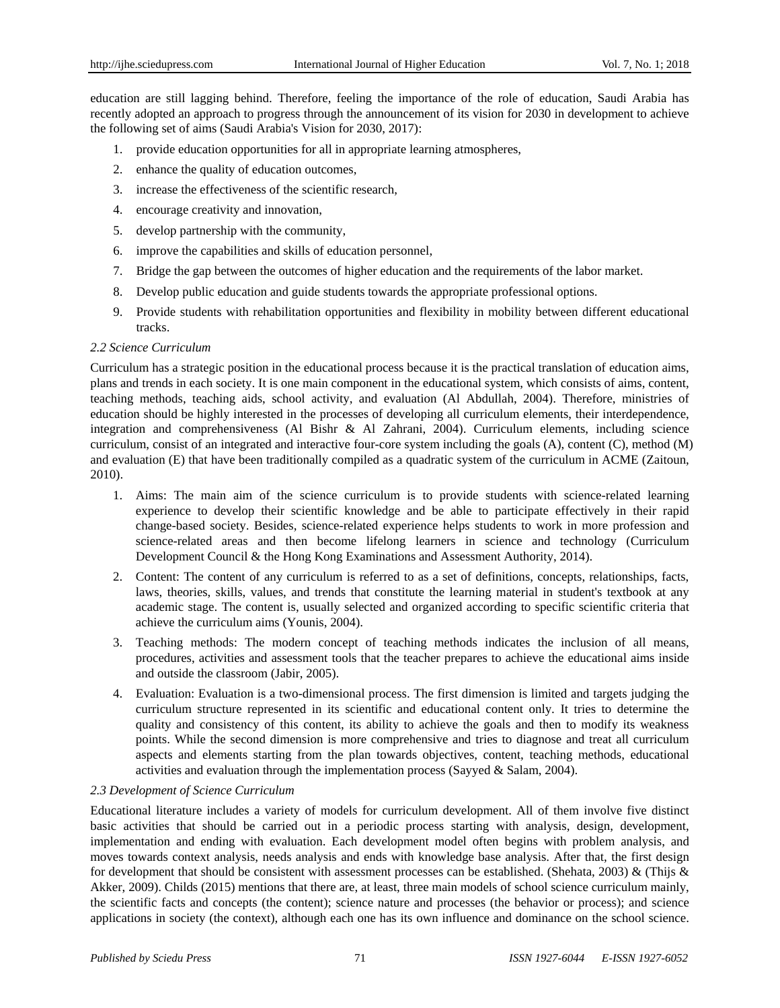education are still lagging behind. Therefore, feeling the importance of the role of education, Saudi Arabia has recently adopted an approach to progress through the announcement of its vision for 2030 in development to achieve the following set of aims (Saudi Arabia's Vision for 2030, 2017):

- 1. provide education opportunities for all in appropriate learning atmospheres,
- 2. enhance the quality of education outcomes,
- 3. increase the effectiveness of the scientific research,
- 4. encourage creativity and innovation,
- 5. develop partnership with the community,
- 6. improve the capabilities and skills of education personnel,
- 7. Bridge the gap between the outcomes of higher education and the requirements of the labor market.
- 8. Develop public education and guide students towards the appropriate professional options.
- 9. Provide students with rehabilitation opportunities and flexibility in mobility between different educational tracks.

## *2.2 Science Curriculum*

Curriculum has a strategic position in the educational process because it is the practical translation of education aims, plans and trends in each society. It is one main component in the educational system, which consists of aims, content, teaching methods, teaching aids, school activity, and evaluation (Al Abdullah, 2004). Therefore, ministries of education should be highly interested in the processes of developing all curriculum elements, their interdependence, integration and comprehensiveness (Al Bishr & Al Zahrani, 2004). Curriculum elements, including science curriculum, consist of an integrated and interactive four-core system including the goals (A), content (C), method (M) and evaluation (E) that have been traditionally compiled as a quadratic system of the curriculum in ACME (Zaitoun, 2010).

- 1. Aims: The main aim of the science curriculum is to provide students with science-related learning experience to develop their scientific knowledge and be able to participate effectively in their rapid change-based society. Besides, science-related experience helps students to work in more profession and science-related areas and then become lifelong learners in science and technology (Curriculum Development Council & the Hong Kong Examinations and Assessment Authority, 2014).
- 2. Content: The content of any curriculum is referred to as a set of definitions, concepts, relationships, facts, laws, theories, skills, values, and trends that constitute the learning material in student's textbook at any academic stage. The content is, usually selected and organized according to specific scientific criteria that achieve the curriculum aims (Younis, 2004).
- 3. Teaching methods: The modern concept of teaching methods indicates the inclusion of all means, procedures, activities and assessment tools that the teacher prepares to achieve the educational aims inside and outside the classroom (Jabir, 2005).
- 4. Evaluation: Evaluation is a two-dimensional process. The first dimension is limited and targets judging the curriculum structure represented in its scientific and educational content only. It tries to determine the quality and consistency of this content, its ability to achieve the goals and then to modify its weakness points. While the second dimension is more comprehensive and tries to diagnose and treat all curriculum aspects and elements starting from the plan towards objectives, content, teaching methods, educational activities and evaluation through the implementation process (Sayyed & Salam, 2004).

## *2.3 Development of Science Curriculum*

Educational literature includes a variety of models for curriculum development. All of them involve five distinct basic activities that should be carried out in a periodic process starting with analysis, design, development, implementation and ending with evaluation. Each development model often begins with problem analysis, and moves towards context analysis, needs analysis and ends with knowledge base analysis. After that, the first design for development that should be consistent with assessment processes can be established. (Shehata, 2003) & (Thijs & Akker, 2009). Childs (2015) mentions that there are, at least, three main models of school science curriculum mainly, the scientific facts and concepts (the content); science nature and processes (the behavior or process); and science applications in society (the context), although each one has its own influence and dominance on the school science.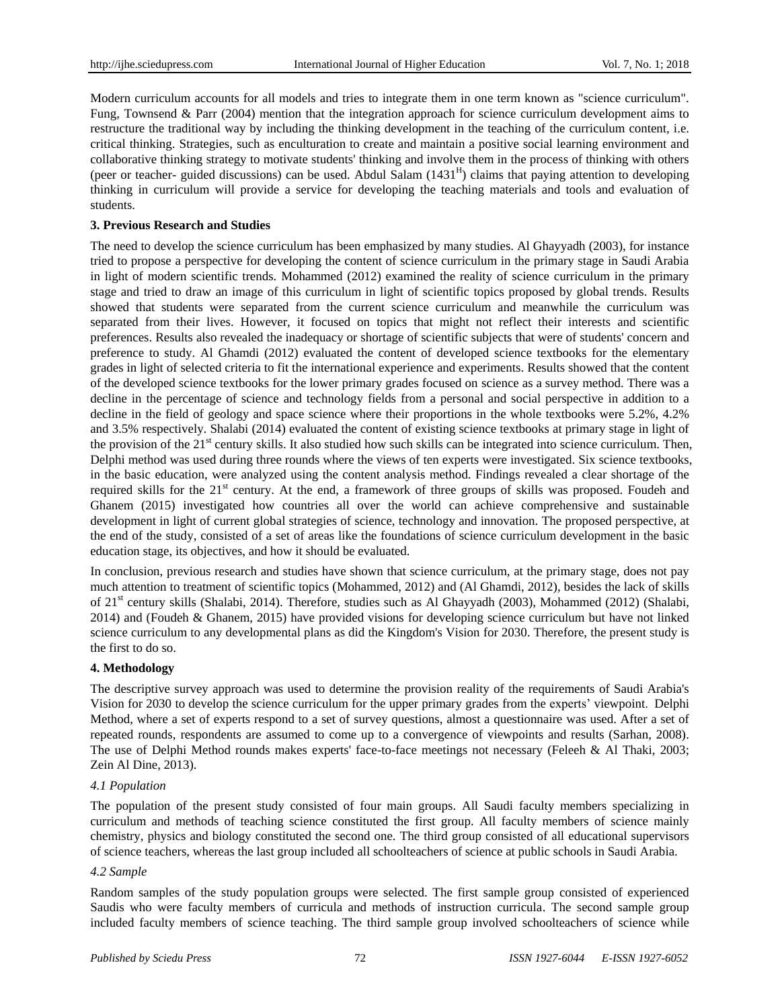Modern curriculum accounts for all models and tries to integrate them in one term known as "science curriculum". Fung, Townsend & Parr (2004) mention that the integration approach for science curriculum development aims to restructure the traditional way by including the thinking development in the teaching of the curriculum content, i.e. critical thinking. Strategies, such as enculturation to create and maintain a positive social learning environment and collaborative thinking strategy to motivate students' thinking and involve them in the process of thinking with others (peer or teacher- guided discussions) can be used. Abdul Salam  $(1431<sup>H</sup>)$  claims that paying attention to developing thinking in curriculum will provide a service for developing the teaching materials and tools and evaluation of students.

## **3. Previous Research and Studies**

The need to develop the science curriculum has been emphasized by many studies. Al Ghayyadh (2003), for instance tried to propose a perspective for developing the content of science curriculum in the primary stage in Saudi Arabia in light of modern scientific trends. Mohammed (2012) examined the reality of science curriculum in the primary stage and tried to draw an image of this curriculum in light of scientific topics proposed by global trends. Results showed that students were separated from the current science curriculum and meanwhile the curriculum was separated from their lives. However, it focused on topics that might not reflect their interests and scientific preferences. Results also revealed the inadequacy or shortage of scientific subjects that were of students' concern and preference to study. Al Ghamdi (2012) evaluated the content of developed science textbooks for the elementary grades in light of selected criteria to fit the international experience and experiments. Results showed that the content of the developed science textbooks for the lower primary grades focused on science as a survey method. There was a decline in the percentage of science and technology fields from a personal and social perspective in addition to a decline in the field of geology and space science where their proportions in the whole textbooks were 5.2%, 4.2% and 3.5% respectively. Shalabi (2014) evaluated the content of existing science textbooks at primary stage in light of the provision of the  $21<sup>st</sup>$  century skills. It also studied how such skills can be integrated into science curriculum. Then, Delphi method was used during three rounds where the views of ten experts were investigated. Six science textbooks, in the basic education, were analyzed using the content analysis method. Findings revealed a clear shortage of the required skills for the 21<sup>st</sup> century. At the end, a framework of three groups of skills was proposed. Foudeh and Ghanem (2015) investigated how countries all over the world can achieve comprehensive and sustainable development in light of current global strategies of science, technology and innovation. The proposed perspective, at the end of the study, consisted of a set of areas like the foundations of science curriculum development in the basic education stage, its objectives, and how it should be evaluated.

In conclusion, previous research and studies have shown that science curriculum, at the primary stage, does not pay much attention to treatment of scientific topics (Mohammed, 2012) and (Al Ghamdi, 2012), besides the lack of skills of 21<sup>st</sup> century skills (Shalabi, 2014). Therefore, studies such as Al Ghayyadh (2003), Mohammed (2012) (Shalabi, 2014) and (Foudeh & Ghanem, 2015) have provided visions for developing science curriculum but have not linked science curriculum to any developmental plans as did the Kingdom's Vision for 2030. Therefore, the present study is the first to do so.

## **4. Methodology**

The descriptive survey approach was used to determine the provision reality of the requirements of Saudi Arabia's Vision for 2030 to develop the science curriculum for the upper primary grades from the experts' viewpoint. Delphi Method, where a set of experts respond to a set of survey questions, almost a questionnaire was used. After a set of repeated rounds, respondents are assumed to come up to a convergence of viewpoints and results (Sarhan, 2008). The use of Delphi Method rounds makes experts' face-to-face meetings not necessary (Feleeh & Al Thaki, 2003; Zein Al Dine, 2013).

# *4.1 Population*

The population of the present study consisted of four main groups. All Saudi faculty members specializing in curriculum and methods of teaching science constituted the first group. All faculty members of science mainly chemistry, physics and biology constituted the second one. The third group consisted of all educational supervisors of science teachers, whereas the last group included all schoolteachers of science at public schools in Saudi Arabia.

## *4.2 Sample*

Random samples of the study population groups were selected. The first sample group consisted of experienced Saudis who were faculty members of curricula and methods of instruction curricula. The second sample group included faculty members of science teaching. The third sample group involved schoolteachers of science while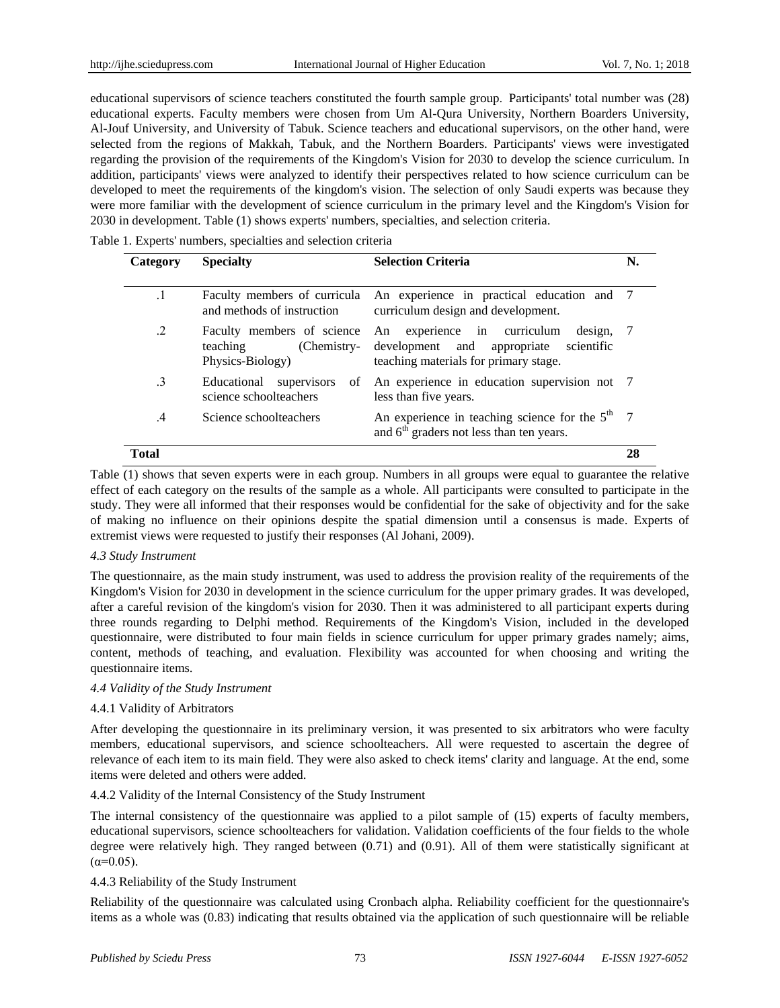educational supervisors of science teachers constituted the fourth sample group. Participants' total number was (28) educational experts. Faculty members were chosen from Um Al-Qura University, Northern Boarders University, Al-Jouf University, and University of Tabuk. Science teachers and educational supervisors, on the other hand, were selected from the regions of Makkah, Tabuk, and the Northern Boarders. Participants' views were investigated regarding the provision of the requirements of the Kingdom's Vision for 2030 to develop the science curriculum. In addition, participants' views were analyzed to identify their perspectives related to how science curriculum can be developed to meet the requirements of the kingdom's vision. The selection of only Saudi experts was because they were more familiar with the development of science curriculum in the primary level and the Kingdom's Vision for 2030 in development. Table (1) shows experts' numbers, specialties, and selection criteria.

| Category      | <b>Specialty</b>                                                          | <b>Selection Criteria</b>                                                                                                      | N. |
|---------------|---------------------------------------------------------------------------|--------------------------------------------------------------------------------------------------------------------------------|----|
| .1            | and methods of instruction                                                | Faculty members of curricula An experience in practical education and 7<br>curriculum design and development.                  |    |
| .2            | Faculty members of science<br>(Chemistry-<br>teaching<br>Physics-Biology) | An experience in curriculum<br>design, 7<br>development and appropriate<br>scientific<br>teaching materials for primary stage. |    |
| .3            | Educational<br>supervisors<br>of<br>science schoolteachers                | An experience in education supervision not 7<br>less than five years.                                                          |    |
| $\mathcal{A}$ | Science schoolteachers                                                    | An experience in teaching science for the $5th$ 7<br>and 6 <sup>th</sup> graders not less than ten years.                      |    |
| Total         |                                                                           |                                                                                                                                | 28 |

Table (1) shows that seven experts were in each group. Numbers in all groups were equal to guarantee the relative effect of each category on the results of the sample as a whole. All participants were consulted to participate in the study. They were all informed that their responses would be confidential for the sake of objectivity and for the sake of making no influence on their opinions despite the spatial dimension until a consensus is made. Experts of extremist views were requested to justify their responses (Al Johani, 2009).

## *4.3 Study Instrument*

The questionnaire, as the main study instrument, was used to address the provision reality of the requirements of the Kingdom's Vision for 2030 in development in the science curriculum for the upper primary grades. It was developed, after a careful revision of the kingdom's vision for 2030. Then it was administered to all participant experts during three rounds regarding to Delphi method. Requirements of the Kingdom's Vision, included in the developed questionnaire, were distributed to four main fields in science curriculum for upper primary grades namely; aims, content, methods of teaching, and evaluation. Flexibility was accounted for when choosing and writing the questionnaire items.

## *4.4 Validity of the Study Instrument*

# 4.4.1 Validity of Arbitrators

After developing the questionnaire in its preliminary version, it was presented to six arbitrators who were faculty members, educational supervisors, and science schoolteachers. All were requested to ascertain the degree of relevance of each item to its main field. They were also asked to check items' clarity and language. At the end, some items were deleted and others were added.

## 4.4.2 Validity of the Internal Consistency of the Study Instrument

The internal consistency of the questionnaire was applied to a pilot sample of (15) experts of faculty members, educational supervisors, science schoolteachers for validation. Validation coefficients of the four fields to the whole degree were relatively high. They ranged between (0.71) and (0.91). All of them were statistically significant at  $(α=0.05)$ .

## 4.4.3 Reliability of the Study Instrument

Reliability of the questionnaire was calculated using Cronbach alpha. Reliability coefficient for the questionnaire's items as a whole was (0.83) indicating that results obtained via the application of such questionnaire will be reliable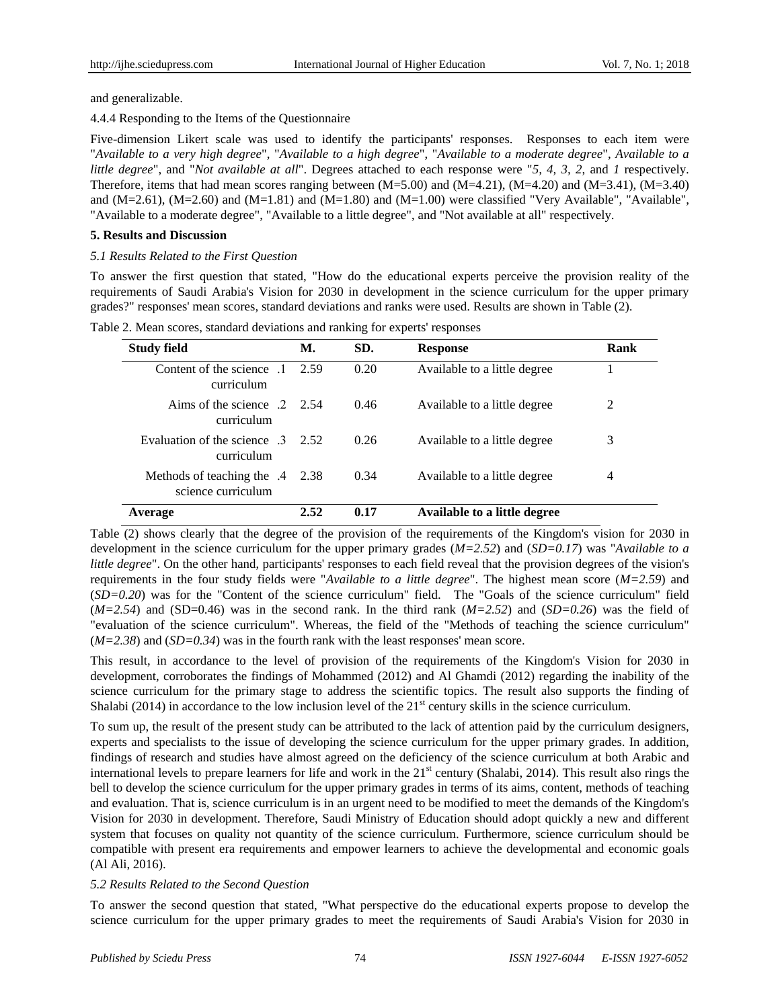and generalizable.

4.4.4 Responding to the Items of the Questionnaire

Five-dimension Likert scale was used to identify the participants' responses. Responses to each item were "*Available to a very high degree*", "*Available to a high degree*", "*Available to a moderate degree*", *Available to a little degree*", and "*Not available at all*". Degrees attached to each response were "*5, 4, 3, 2*, and *1* respectively. Therefore, items that had mean scores ranging between  $(M=5.00)$  and  $(M=4.21)$ ,  $(M=4.20)$  and  $(M=3.41)$ ,  $(M=3.40)$ and  $(M=2.61)$ ,  $(M=2.60)$  and  $(M=1.81)$  and  $(M=1.80)$  and  $(M=1.00)$  were classified "Very Available", "Available", "Available to a moderate degree", "Available to a little degree", and "Not available at all" respectively.

# **5. Results and Discussion**

## *5.1 Results Related to the First Question*

To answer the first question that stated, "How do the educational experts perceive the provision reality of the requirements of Saudi Arabia's Vision for 2030 in development in the science curriculum for the upper primary grades?" responses' mean scores, standard deviations and ranks were used. Results are shown in Table (2).

| <b>Study field</b>                                      | М.   | SD.  | <b>Response</b>              | Rank |
|---------------------------------------------------------|------|------|------------------------------|------|
| Content of the science<br>$\blacksquare$<br>curriculum  | 2.59 | 0.20 | Available to a little degree |      |
| Aims of the science $2\quad 2.54$<br>curriculum         |      | 0.46 | Available to a little degree | 2    |
| Evaluation of the science 3<br>curriculum               | 2.52 | 0.26 | Available to a little degree | 3    |
| Methods of teaching the $.4$ 2.38<br>science curriculum |      | 0.34 | Available to a little degree | 4    |
| Average                                                 | 2.52 | 0.17 | Available to a little degree |      |

Table 2. Mean scores, standard deviations and ranking for experts' responses

Table (2) shows clearly that the degree of the provision of the requirements of the Kingdom's vision for 2030 in development in the science curriculum for the upper primary grades (*M=2.52*) and (*SD=0.17*) was "*Available to a little degree*". On the other hand, participants' responses to each field reveal that the provision degrees of the vision's requirements in the four study fields were "*Available to a little degree*". The highest mean score (*M=2.59*) and (*SD=0.20*) was for the "Content of the science curriculum" field. The "Goals of the science curriculum" field  $(M=2.54)$  and  $(SD=0.46)$  was in the second rank. In the third rank  $(M=2.52)$  and  $(SD=0.26)$  was the field of "evaluation of the science curriculum". Whereas, the field of the "Methods of teaching the science curriculum" (*M=2.38*) and (*SD=0.34*) was in the fourth rank with the least responses' mean score.

This result, in accordance to the level of provision of the requirements of the Kingdom's Vision for 2030 in development, corroborates the findings of Mohammed (2012) and Al Ghamdi (2012) regarding the inability of the science curriculum for the primary stage to address the scientific topics. The result also supports the finding of Shalabi (2014) in accordance to the low inclusion level of the  $21<sup>st</sup>$  century skills in the science curriculum.

To sum up, the result of the present study can be attributed to the lack of attention paid by the curriculum designers, experts and specialists to the issue of developing the science curriculum for the upper primary grades. In addition, findings of research and studies have almost agreed on the deficiency of the science curriculum at both Arabic and international levels to prepare learners for life and work in the  $21<sup>st</sup>$  century (Shalabi, 2014). This result also rings the bell to develop the science curriculum for the upper primary grades in terms of its aims, content, methods of teaching and evaluation. That is, science curriculum is in an urgent need to be modified to meet the demands of the Kingdom's Vision for 2030 in development. Therefore, Saudi Ministry of Education should adopt quickly a new and different system that focuses on quality not quantity of the science curriculum. Furthermore, science curriculum should be compatible with present era requirements and empower learners to achieve the developmental and economic goals (Al Ali, 2016).

# *5.2 Results Related to the Second Question*

To answer the second question that stated, "What perspective do the educational experts propose to develop the science curriculum for the upper primary grades to meet the requirements of Saudi Arabia's Vision for 2030 in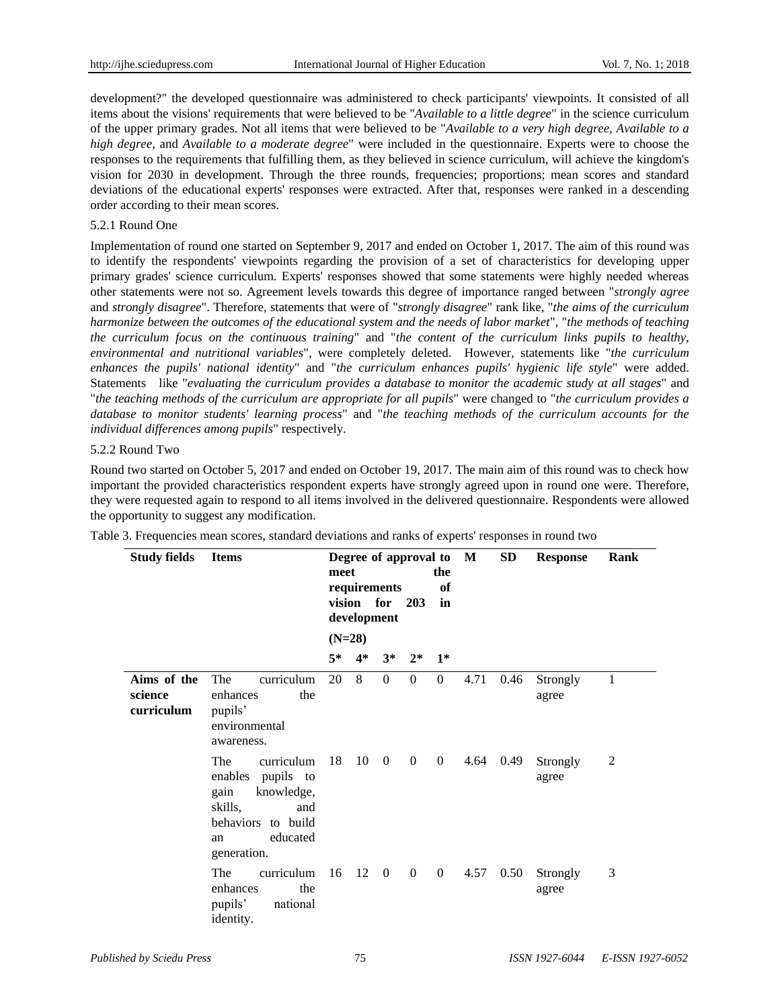development?" the developed questionnaire was administered to check participants' viewpoints. It consisted of all items about the visions' requirements that were believed to be "*Available to a little degree*" in the science curriculum of the upper primary grades. Not all items that were believed to be "*Available to a very high degree*, *Available to a high degree*, and *Available to a moderate degree*" were included in the questionnaire. Experts were to choose the responses to the requirements that fulfilling them, as they believed in science curriculum, will achieve the kingdom's vision for 2030 in development. Through the three rounds, frequencies; proportions; mean scores and standard deviations of the educational experts' responses were extracted. After that, responses were ranked in a descending order according to their mean scores.

## 5.2.1 Round One

Implementation of round one started on September 9, 2017 and ended on October 1, 2017. The aim of this round was to identify the respondents' viewpoints regarding the provision of a set of characteristics for developing upper primary grades' science curriculum. Experts' responses showed that some statements were highly needed whereas other statements were not so. Agreement levels towards this degree of importance ranged between "*strongly agree* and *strongly disagree*". Therefore, statements that were of "*strongly disagree*" rank like, "*the aims of the curriculum harmonize between the outcomes of the educational system and the needs of labor market*", "*the methods of teaching the curriculum focus on the continuous training*" and "*the content of the curriculum links pupils to healthy, environmental and nutritional variables*", were completely deleted. However, statements like "*the curriculum enhances the pupils' national identity*" and "*the curriculum enhances pupils' hygienic life style*" were added. Statements like "*evaluating the curriculum provides a database to monitor the academic study at all stages*" and "*the teaching methods of the curriculum are appropriate for all pupils*" were changed to "*the curriculum provides a database to monitor students' learning process*" and "*the teaching methods of the curriculum accounts for the individual differences among pupils*" respectively.

## 5.2.2 Round Two

Round two started on October 5, 2017 and ended on October 19, 2017. The main aim of this round was to check how important the provided characteristics respondent experts have strongly agreed upon in round one were. Therefore, they were requested again to respond to all items involved in the delivered questionnaire. Respondents were allowed the opportunity to suggest any modification.

| <b>Study fields</b>                  | <b>Items</b>                                                                                                                          |      | Degree of approval to M<br>the<br>meet<br>requirements<br>of<br>vision for 203<br>in<br>development |                |              |                  |      | SD   | <b>Response</b>   | Rank |
|--------------------------------------|---------------------------------------------------------------------------------------------------------------------------------------|------|-----------------------------------------------------------------------------------------------------|----------------|--------------|------------------|------|------|-------------------|------|
|                                      |                                                                                                                                       |      | $(N=28)$                                                                                            |                |              |                  |      |      |                   |      |
|                                      |                                                                                                                                       | $5*$ | $4*$                                                                                                | $3^*$          | $2^*$        | $1*$             |      |      |                   |      |
| Aims of the<br>science<br>curriculum | curriculum<br>The<br>enhances<br>the<br>pupils'<br>environmental<br>awareness.                                                        | 20   | 8                                                                                                   | $\overline{0}$ | $\mathbf{0}$ | $\overline{0}$   | 4.71 | 0.46 | Strongly<br>agree | 1    |
|                                      | curriculum<br>The<br>enables pupils to<br>knowledge,<br>gain<br>skills,<br>and<br>behaviors to build<br>educated<br>an<br>generation. | 18   | 10                                                                                                  | $\overline{0}$ | $\mathbf{0}$ | $\boldsymbol{0}$ | 4.64 | 0.49 | Strongly<br>agree | 2    |
|                                      | The<br>curriculum<br>enhances<br>the<br>national<br>pupils'<br>identity.                                                              | 16   | 12 0                                                                                                |                | $\mathbf{0}$ | $\overline{0}$   | 4.57 | 0.50 | Strongly<br>agree | 3    |

Table 3. Frequencies mean scores, standard deviations and ranks of experts' responses in round two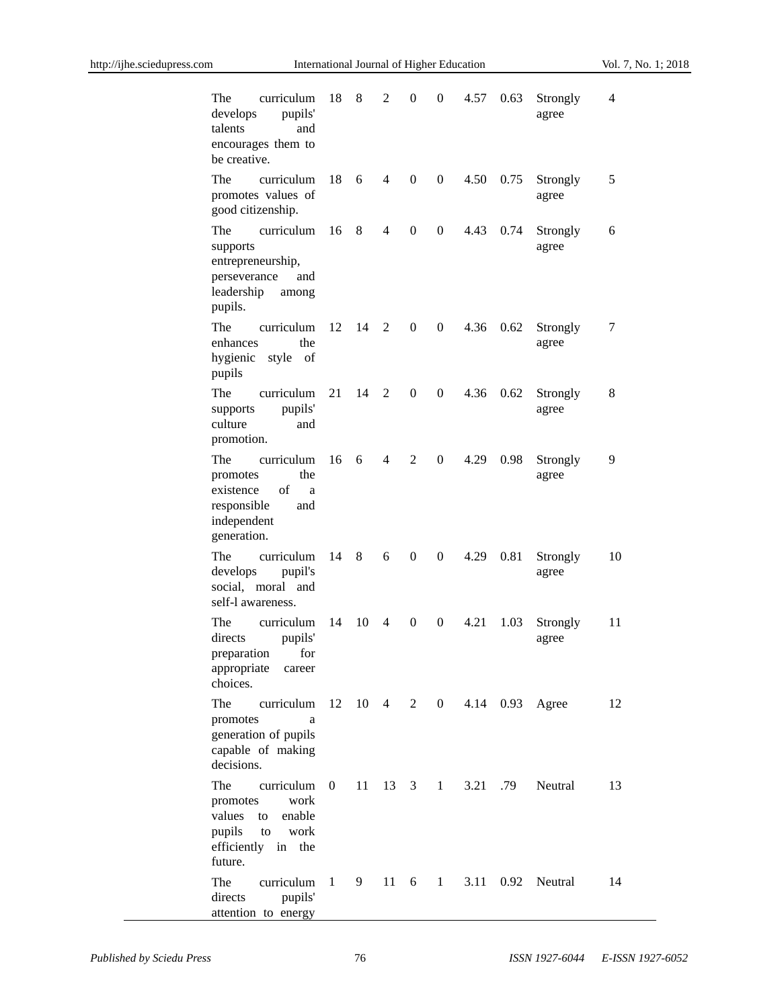| curriculum<br>The<br>pupils'<br>develops<br>talents<br>and<br>encourages them to<br>be creative.                         | 18           | 8                 | 2              | $\boldsymbol{0}$ | $\boldsymbol{0}$ | 4.57 | 0.63     | Strongly<br>agree          | 4  |
|--------------------------------------------------------------------------------------------------------------------------|--------------|-------------------|----------------|------------------|------------------|------|----------|----------------------------|----|
| The<br>curriculum<br>promotes values of<br>good citizenship.                                                             | 18           | 6                 | $\overline{4}$ | $\theta$         | $\overline{0}$   | 4.50 | 0.75     | Strongly<br>agree          | 5  |
| curriculum<br>The<br>supports<br>entrepreneurship,<br>perseverance and<br>leadership<br>among<br>pupils.                 | 16           | 8                 | $\overline{4}$ | $\boldsymbol{0}$ | $\overline{0}$   | 4.43 | 0.74     | Strongly<br>agree          | 6  |
| The<br>curriculum<br>the<br>enhances<br>hygienic<br>style of<br>pupils                                                   | 12           | 14                | 2              | $\boldsymbol{0}$ | $\overline{0}$   | 4.36 | 0.62     | Strongly<br>agree          | 7  |
| The<br>curriculum<br>pupils'<br>supports<br>culture<br>and<br>promotion.                                                 | 21           | 14                | $\overline{2}$ | $\boldsymbol{0}$ | $\overline{0}$   | 4.36 | 0.62     | Strongly<br>agree          | 8  |
| The<br>curriculum<br>the<br>promotes<br>of<br>existence<br>a<br>responsible<br>and<br>independent<br>generation.         | 16           | 6                 | $\overline{4}$ | $\overline{2}$   | $\overline{0}$   | 4.29 | 0.98     | Strongly<br>agree          | 9  |
| The<br>curriculum<br>develops<br>pupil's<br>social, moral and<br>self-l awareness.                                       | 14           | 8                 | 6              | $\boldsymbol{0}$ | $\overline{0}$   | 4.29 | 0.81     | Strongly<br>agree          | 10 |
| The<br>curriculum<br>directs<br>pupils'<br>preparation<br>for<br>appropriate<br>career<br>choices.                       | 14           | 10                | $\overline{4}$ | $\boldsymbol{0}$ | $\boldsymbol{0}$ | 4.21 | 1.03     | Strongly<br>agree          | 11 |
| The<br>curriculum<br>promotes<br>a<br>generation of pupils<br>capable of making<br>decisions.                            |              | $12 \t10 \t4 \t2$ |                |                  |                  |      |          | 0 4.14 0.93 Agree          | 12 |
| The<br>curriculum<br>work<br>promotes<br>enable<br>values<br>to<br>pupils<br>work<br>to<br>efficiently in the<br>future. | $\mathbf{0}$ | 11                | 13 3           |                  | $1 \quad$        |      | 3.21 .79 | Neutral                    | 13 |
| curriculum<br>The<br>directs<br>pupils'<br>attention to energy                                                           | $\sim$ 1     |                   |                |                  |                  |      |          | 9 11 6 1 3.11 0.92 Neutral | 14 |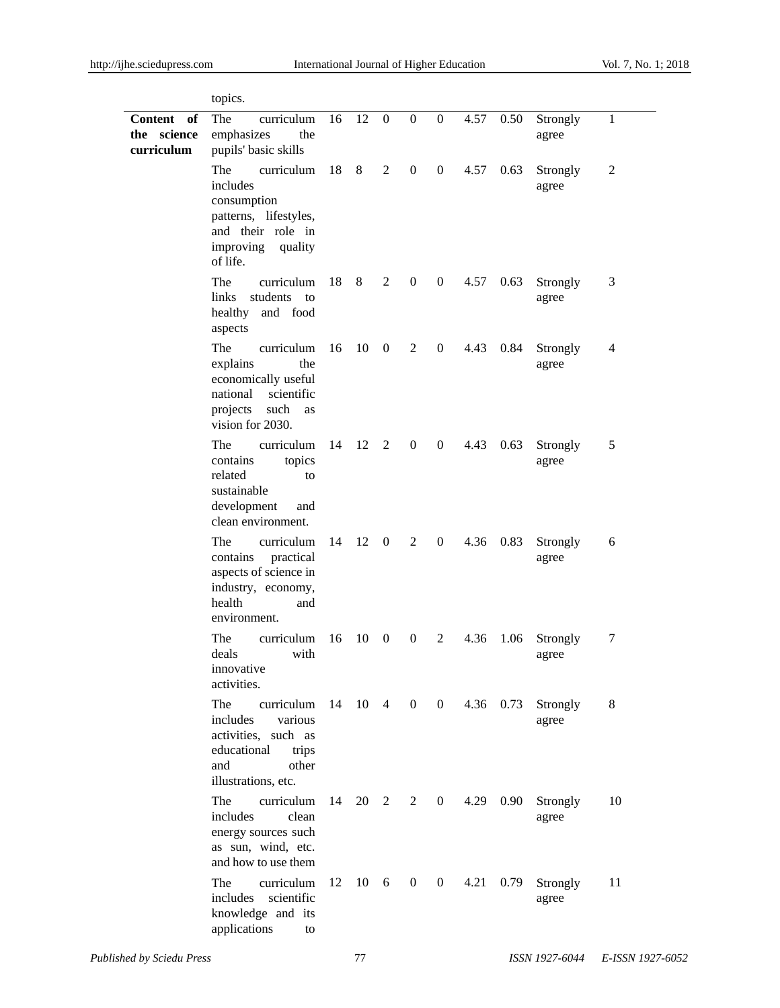|                                                   | topics.                                                                                                                          |        |              |                |                  |                  |      |           |                   |              |
|---------------------------------------------------|----------------------------------------------------------------------------------------------------------------------------------|--------|--------------|----------------|------------------|------------------|------|-----------|-------------------|--------------|
| <b>Content</b><br>of<br>the science<br>curriculum | The<br>curriculum<br>emphasizes<br>the<br>pupils' basic skills                                                                   | 16     | $12 \quad 0$ |                | $\boldsymbol{0}$ | $\mathbf{0}$     | 4.57 | 0.50      | Strongly<br>agree | $\mathbf{1}$ |
|                                                   | The<br>curriculum<br>includes<br>consumption<br>patterns, lifestyles,<br>and their role in<br>improving quality<br>of life.      | 18 8 2 |              |                | $\boldsymbol{0}$ | $\boldsymbol{0}$ |      | 4.57 0.63 | Strongly<br>agree | 2            |
|                                                   | The<br>curriculum<br>links<br>students<br>to<br>and food<br>healthy<br>aspects                                                   | 18     | 8            | 2              | $\mathbf{0}$     | $\overline{0}$   | 4.57 | 0.63      | Strongly<br>agree | 3            |
|                                                   | The<br>curriculum<br>explains<br>the<br>economically useful<br>national scientific<br>projects<br>such<br>as<br>vision for 2030. | 16     | 10           | $\overline{0}$ | 2                | $\mathbf{0}$     | 4.43 | 0.84      | Strongly<br>agree | 4            |
|                                                   | The<br>curriculum<br>contains<br>topics<br>related<br>to<br>sustainable<br>development<br>and<br>clean environment.              | 14     |              | 12 2           | $\overline{0}$   | $\boldsymbol{0}$ | 4.43 | 0.63      | Strongly<br>agree | 5            |
|                                                   | The<br>curriculum<br>contains<br>practical<br>aspects of science in<br>industry, economy,<br>health<br>and<br>environment.       | 14     | 12           | $\mathbf{0}$   | 2                | $\overline{0}$   | 4.36 | 0.83      | Strongly<br>agree | 6            |
|                                                   | The<br>curriculum<br>with<br>deals<br>innovative<br>activities.                                                                  | 16     | 10           | $\overline{0}$ | $\overline{0}$   | 2                | 4.36 | 1.06      | Strongly<br>agree | 7            |
|                                                   | The<br>curriculum<br>various<br>includes<br>activities, such as<br>educational<br>trips<br>and<br>other<br>illustrations, etc.   | -14    | 10 4         |                |                  | $0 \quad 0$      |      | 4.36 0.73 | Strongly<br>agree | 8            |
|                                                   | The<br>curriculum<br>includes<br>clean<br>energy sources such<br>as sun, wind, etc.<br>and how to use them                       | 14     |              | 20 2           | 2                | $\overline{0}$   | 4.29 | 0.90      | Strongly<br>agree | 10           |
|                                                   | The<br>curriculum<br>includes scientific<br>knowledge and its<br>applications<br>to                                              | 12     |              | 10 6           | $\mathbf{0}$     | $\mathbf{0}$     | 4.21 | 0.79      | Strongly<br>agree | 11           |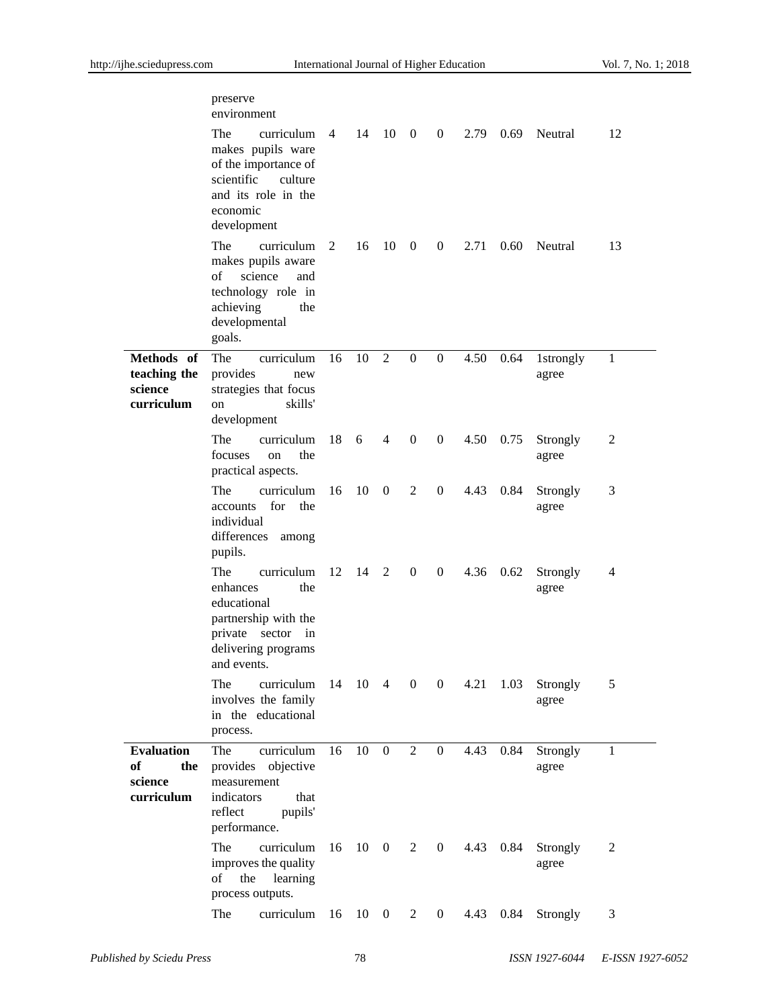|                                                         | preserve<br>environment                                                                                                                   |                |    |                              |                |                  |      |                |                    |                |
|---------------------------------------------------------|-------------------------------------------------------------------------------------------------------------------------------------------|----------------|----|------------------------------|----------------|------------------|------|----------------|--------------------|----------------|
|                                                         | The<br>curriculum<br>makes pupils ware<br>of the importance of<br>scientific<br>culture<br>and its role in the<br>economic<br>development | $\overline{4}$ | 14 | 10                           | $0\qquad 0$    |                  | 2.79 | 0.69           | Neutral            | 12             |
|                                                         | The<br>curriculum<br>makes pupils aware<br>of<br>science<br>and<br>technology role in<br>achieving<br>the<br>developmental<br>goals.      | 2              | 16 | 10                           | $\overline{0}$ | $\overline{0}$   | 2.71 | $0.60^{\circ}$ | Neutral            | 13             |
| Methods of<br>teaching the<br>science<br>curriculum     | The<br>curriculum<br>provides<br>new<br>strategies that focus<br>skills'<br>on<br>development                                             | 16             | 10 | 2                            | $\mathbf{0}$   | $\theta$         | 4.50 | 0.64           | 1strongly<br>agree | 1              |
|                                                         | The<br>curriculum<br>the<br>focuses<br>on<br>practical aspects.                                                                           | 18             | 6  | $\overline{4}$               | $\mathbf{0}$   | $\boldsymbol{0}$ | 4.50 | 0.75           | Strongly<br>agree  | $\overline{c}$ |
|                                                         | The<br>curriculum<br>for<br>the<br>accounts<br>individual<br>differences<br>among<br>pupils.                                              | 16             | 10 | $\overline{0}$               | 2              | $\boldsymbol{0}$ | 4.43 | 0.84           | Strongly<br>agree  | 3              |
|                                                         | The<br>curriculum<br>enhances<br>the<br>educational<br>partnership with the<br>private sector in<br>delivering programs<br>and events.    | 12             | 14 | <sup>2</sup>                 | $\mathbf{0}$   | $\overline{0}$   | 4.36 | 0.62           | Strongly<br>agree  | 4              |
|                                                         | The<br>curriculum<br>involves the family<br>in the educational<br>process.                                                                |                |    | 14 10 4 0 0                  |                |                  | 4.21 | 1.03           | Strongly<br>agree  | 5              |
| <b>Evaluation</b><br>of<br>the<br>science<br>curriculum | The<br>curriculum<br>provides objective<br>measurement<br>indicators<br>that<br>reflect<br>pupils'<br>performance.                        | 16             | 10 | $\overline{0}$               | 2              | $\boldsymbol{0}$ | 4.43 | 0.84           | Strongly<br>agree  | 1              |
|                                                         | curriculum<br>The<br>improves the quality<br>learning<br>the<br>of<br>process outputs.                                                    | 16             |    | $10 \t 0 \t 2$               |                | $\mathbf{0}$     | 4.43 | 0.84           | Strongly<br>agree  | 2              |
|                                                         | The<br>curriculum                                                                                                                         | 16             |    | $10 \quad 0 \quad 2 \quad 0$ |                |                  | 4.43 | 0.84           | Strongly           | 3              |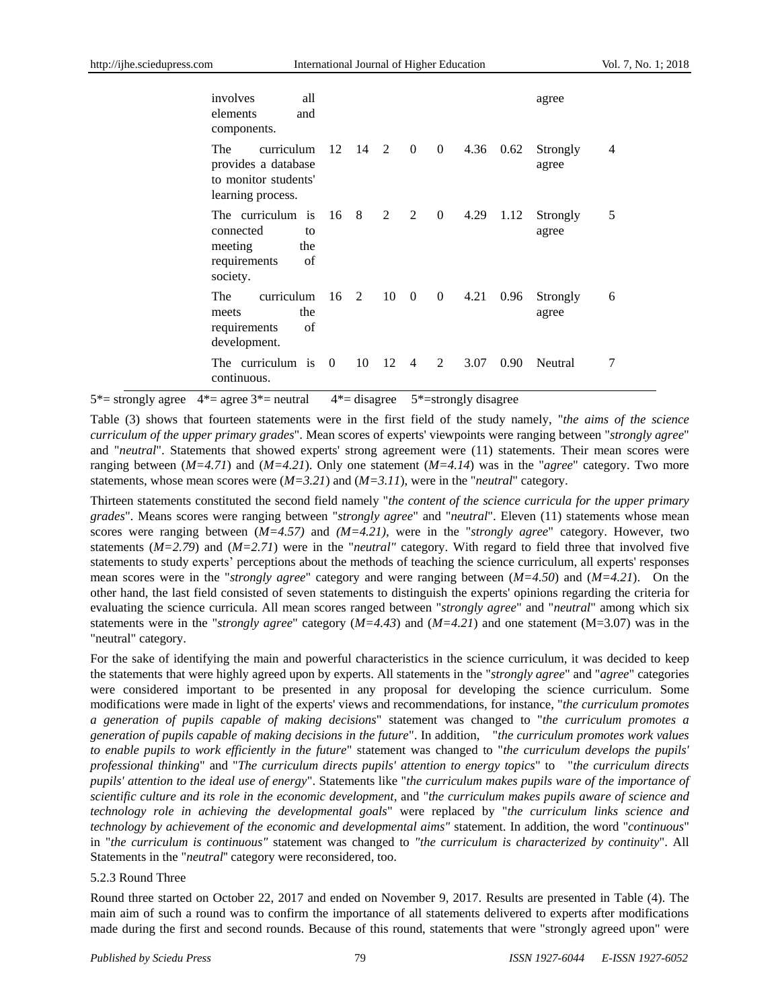| involves<br>all<br>elements<br>and<br>components.                                           |                               |    |     |                |                  |      |           | agree             |   |
|---------------------------------------------------------------------------------------------|-------------------------------|----|-----|----------------|------------------|------|-----------|-------------------|---|
| curriculum<br>The<br>provides a database<br>to monitor students'<br>learning process.       | $12 \t14 \t2 \t0$             |    |     |                | $\overline{0}$   | 4.36 | 0.62      | Strongly<br>agree | 4 |
| The curriculum is 16<br>connected<br>tο<br>meeting<br>the<br>requirements<br>of<br>society. |                               | 8  | 2 2 |                | $\boldsymbol{0}$ |      | 4.29 1.12 | Strongly<br>agree | 5 |
| curriculum<br>The<br>the<br>meets<br>requirements<br>of<br>development.                     | $16 \quad 2 \quad 10 \quad 0$ |    |     |                | 0                | 4.21 | 0.96      | Strongly<br>agree | 6 |
| The curriculum is<br>continuous.                                                            | $\Omega$                      | 10 | -12 | $\overline{4}$ | 2                | 3.07 | 0.90      | Neutral           |   |

 $5^*$  strongly agree  $4^*$  = agree  $3^*$  = neutral  $4^*$  = disagree  $5^*$  = strongly disagree

Table (3) shows that fourteen statements were in the first field of the study namely, "*the aims of the science curriculum of the upper primary grades*". Mean scores of experts' viewpoints were ranging between "*strongly agree*" and "*neutral*". Statements that showed experts' strong agreement were (11) statements. Their mean scores were ranging between (*M=4.71*) and (*M=4.21*). Only one statement (*M=4.14*) was in the "*agree*" category. Two more statements, whose mean scores were (*M=3.21*) and (*M=3.11*), were in the "*neutral*" category.

Thirteen statements constituted the second field namely "*the content of the science curricula for the upper primary grades*". Means scores were ranging between "*strongly agree*" and "*neutral*". Eleven (11) statements whose mean scores were ranging between (*M=4.57)* and *(M=4.21),* were in the "*strongly agree*" category. However, two statements (*M=2.79*) and (*M=2.71*) were in the "*neutral"* category. With regard to field three that involved five statements to study experts' perceptions about the methods of teaching the science curriculum, all experts' responses mean scores were in the "*strongly agree*" category and were ranging between (*M=4.50*) and (*M=4.21*). On the other hand, the last field consisted of seven statements to distinguish the experts' opinions regarding the criteria for evaluating the science curricula. All mean scores ranged between "*strongly agree*" and "*neutral*" among which six statements were in the "*strongly agree*" category (*M=4.43*) and (*M=4.21*) and one statement (M=3.07) was in the "neutral" category.

For the sake of identifying the main and powerful characteristics in the science curriculum, it was decided to keep the statements that were highly agreed upon by experts. All statements in the "*strongly agree*" and "*agree*" categories were considered important to be presented in any proposal for developing the science curriculum. Some modifications were made in light of the experts' views and recommendations, for instance, "*the curriculum promotes a generation of pupils capable of making decisions*" statement was changed to "*the curriculum promotes a generation of pupils capable of making decisions in the future*". In addition, "*the curriculum promotes work values to enable pupils to work efficiently in the future*" statement was changed to "*the curriculum develops the pupils' professional thinking*" and "*The curriculum directs pupils' attention to energy topics*" to "*the curriculum directs pupils' attention to the ideal use of energy*". Statements like "*the curriculum makes pupils ware of the importance of scientific culture and its role in the economic development*, and "*the curriculum makes pupils aware of science and technology role in achieving the developmental goals*" were replaced by "*the curriculum links science and technology by achievement of the economic and developmental aims"* statement. In addition, the word "*continuous*" in "*the curriculum is continuous"* statement was changed to *"the curriculum is characterized by continuity*". All Statements in the "*neutral*'' category were reconsidered, too.

## 5.2.3 Round Three

Round three started on October 22, 2017 and ended on November 9, 2017. Results are presented in Table (4). The main aim of such a round was to confirm the importance of all statements delivered to experts after modifications made during the first and second rounds. Because of this round, statements that were "strongly agreed upon" were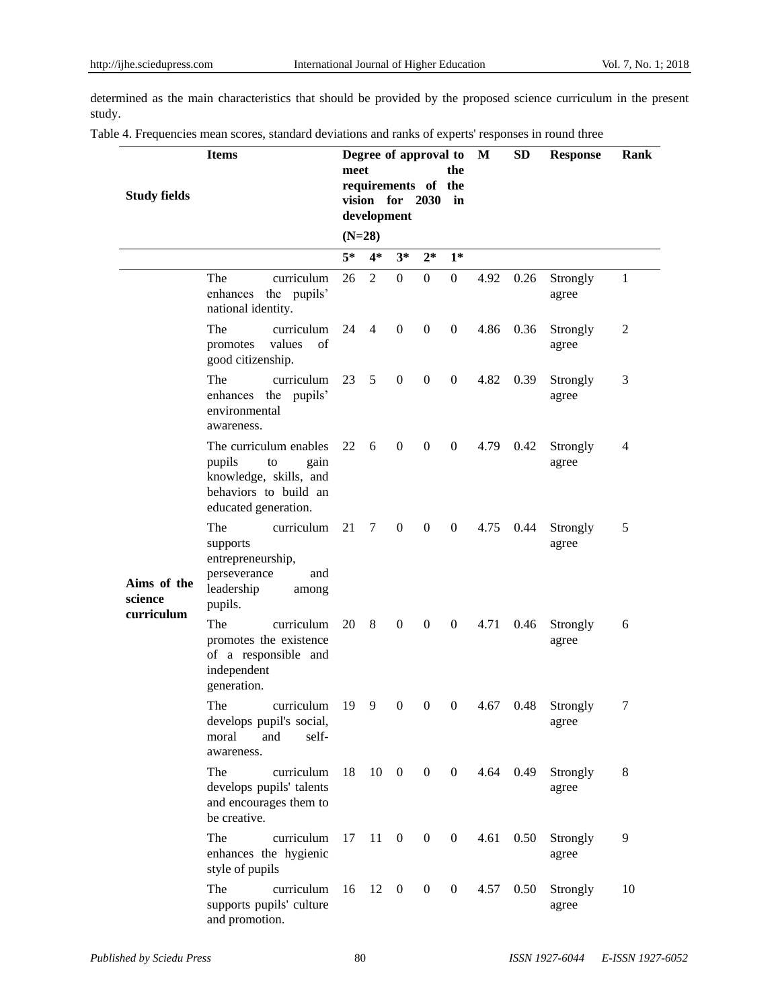determined as the main characteristics that should be provided by the proposed science curriculum in the present study.

|  |  |  |  | Table 4. Frequencies mean scores, standard deviations and ranks of experts' responses in round three |
|--|--|--|--|------------------------------------------------------------------------------------------------------|
|  |  |  |  |                                                                                                      |

| <b>Study fields</b>    | <b>Items</b>                                                                                                              | meet | Degree of approval to<br>requirements of the<br>vision for 2030<br>development |                         |                  | the<br>in        | M    | <b>SD</b> | <b>Response</b>   | Rank |
|------------------------|---------------------------------------------------------------------------------------------------------------------------|------|--------------------------------------------------------------------------------|-------------------------|------------------|------------------|------|-----------|-------------------|------|
|                        |                                                                                                                           |      | $(N=28)$                                                                       |                         |                  |                  |      |           |                   |      |
|                        |                                                                                                                           | $5*$ | $4*$                                                                           | $3*$                    | $2*$             | $1*$             |      |           |                   |      |
|                        | The<br>curriculum<br>enhances the pupils'<br>national identity.                                                           | 26   | 2                                                                              | $\overline{0}$          | $\overline{0}$   | $\mathbf{0}$     | 4.92 | 0.26      | Strongly<br>agree | 1    |
|                        | The<br>curriculum<br>values<br>of<br>promotes<br>good citizenship.                                                        | 24   | $\overline{4}$                                                                 | $\boldsymbol{0}$        | $\overline{0}$   | $\mathbf{0}$     | 4.86 | 0.36      | Strongly<br>agree | 2    |
|                        | The<br>curriculum<br>enhances the pupils'<br>environmental<br>awareness.                                                  | 23   | 5                                                                              | $\overline{0}$          | $\overline{0}$   | $\boldsymbol{0}$ | 4.82 | 0.39      | Strongly<br>agree | 3    |
|                        | The curriculum enables<br>pupils<br>gain<br>to<br>knowledge, skills, and<br>behaviors to build an<br>educated generation. | 22   | 6                                                                              | $\overline{0}$          | $\boldsymbol{0}$ | $\overline{0}$   | 4.79 | 0.42      | Strongly<br>agree | 4    |
| Aims of the<br>science | The<br>curriculum<br>supports<br>entrepreneurship,<br>perseverance<br>and<br>leadership<br>among<br>pupils.               | 21   | $7\overline{ }$                                                                | $\mathbf{0}$            | $\overline{0}$   | $\mathbf{0}$     | 4.75 | 0.44      | Strongly<br>agree | 5    |
| curriculum             | The<br>curriculum<br>promotes the existence<br>of a responsible and<br>independent<br>generation.                         | 20   | 8                                                                              | $\overline{0}$          | $\overline{0}$   | $\theta$         | 4.71 | 0.46      | Strongly<br>agree | 6    |
|                        | The<br>curriculum<br>develops pupil's social,<br>moral<br>and<br>self-<br>awareness.                                      | 19   | 9                                                                              | $\boldsymbol{0}$        | $\overline{0}$   | $\boldsymbol{0}$ | 4.67 | 0.48      | Strongly<br>agree | 7    |
|                        | The<br>curriculum<br>develops pupils' talents<br>and encourages them to<br>be creative.                                   | 18   | $10 \quad 0$                                                                   |                         | $\overline{0}$   | $\overline{0}$   | 4.64 | 0.49      | Strongly<br>agree | 8    |
|                        | The<br>curriculum<br>enhances the hygienic<br>style of pupils                                                             | 17   | 11                                                                             | $\boldsymbol{0}$        | $\overline{0}$   | $\overline{0}$   | 4.61 | 0.50      | Strongly<br>agree | 9    |
|                        | The<br>curriculum<br>supports pupils' culture<br>and promotion.                                                           | 16   | 12                                                                             | $\overline{\mathbf{0}}$ | $\overline{0}$   | $\boldsymbol{0}$ | 4.57 | 0.50      | Strongly<br>agree | 10   |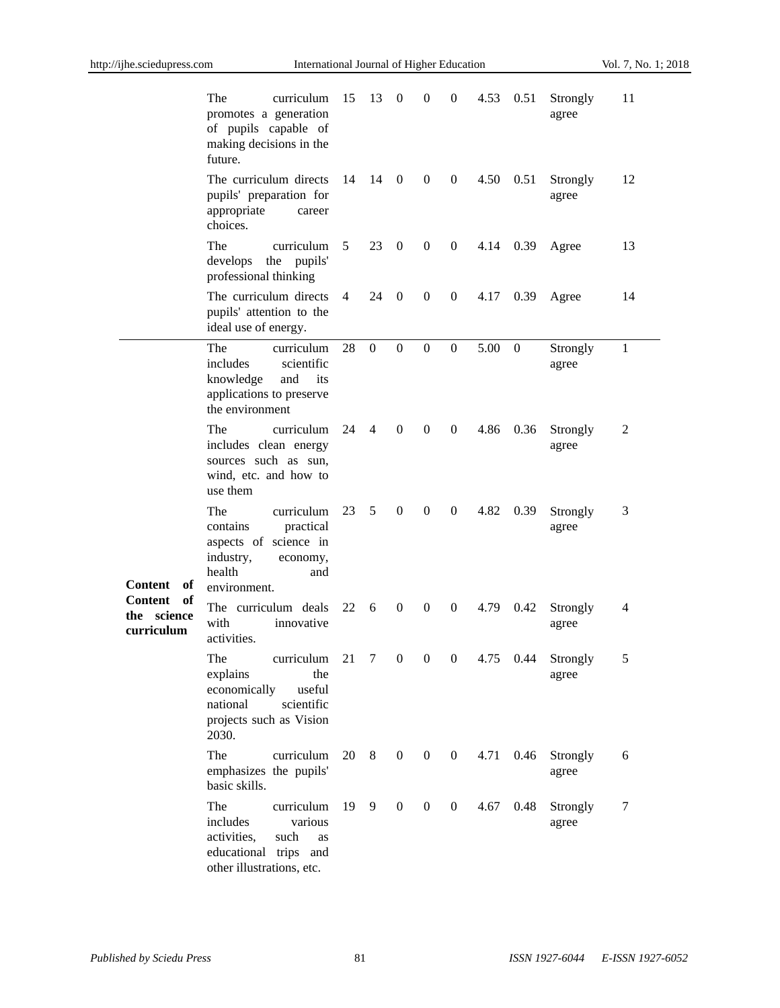$\frac{1}{2}$ 

|                                               | The<br>curriculum<br>promotes a generation<br>of pupils capable of<br>making decisions in the<br>future.                                          | 15 | 13               | $\boldsymbol{0}$ | $\boldsymbol{0}$ | $\boldsymbol{0}$ | 4.53 | 0.51     | Strongly<br>agree | 11           |
|-----------------------------------------------|---------------------------------------------------------------------------------------------------------------------------------------------------|----|------------------|------------------|------------------|------------------|------|----------|-------------------|--------------|
|                                               | The curriculum directs<br>pupils' preparation for<br>appropriate<br>career<br>choices.                                                            | 14 | 14               | $\overline{0}$   | $\overline{0}$   | $\overline{0}$   | 4.50 | 0.51     | Strongly<br>agree | 12           |
|                                               | The<br>curriculum<br>develops<br>the pupils'<br>professional thinking                                                                             | 5  | 23               | $\boldsymbol{0}$ | $\boldsymbol{0}$ | $\boldsymbol{0}$ | 4.14 | 0.39     | Agree             | 13           |
|                                               | The curriculum directs<br>pupils' attention to the<br>ideal use of energy.                                                                        | 4  | 24               | $\mathbf{0}$     | $\boldsymbol{0}$ | $\mathbf{0}$     | 4.17 | 0.39     | Agree             | 14           |
|                                               | The<br>curriculum<br>includes<br>scientific<br>knowledge<br>and<br>its<br>applications to preserve<br>the environment                             | 28 | $\boldsymbol{0}$ | $\boldsymbol{0}$ | $\boldsymbol{0}$ | $\mathbf{0}$     | 5.00 | $\theta$ | Strongly<br>agree | $\mathbf{1}$ |
| Content<br>of                                 | The<br>curriculum<br>includes clean energy<br>sources such as sun,<br>wind, etc. and how to<br>use them                                           | 24 | $\overline{4}$   | $\boldsymbol{0}$ | $\boldsymbol{0}$ | $\mathbf{0}$     | 4.86 | 0.36     | Strongly<br>agree | 2            |
|                                               | The<br>curriculum<br>practical<br>contains<br>aspects of science in<br>industry,<br>economy,<br>health<br>and<br>environment.                     | 23 | 5                | $\boldsymbol{0}$ | $\boldsymbol{0}$ | $\overline{0}$   | 4.82 | 0.39     | Strongly<br>agree | 3            |
| of<br>Content<br>science<br>the<br>curriculum | The curriculum deals<br>with<br>innovative<br>activities.                                                                                         | 22 | 6                | $\boldsymbol{0}$ | $\boldsymbol{0}$ | $\mathbf{0}$     | 4.79 | 0.42     | Strongly<br>agree | 4            |
|                                               | curriculum 21 7 0 0 0 4.75 0.44<br>The<br>explains<br>the<br>economically<br>useful<br>national<br>scientific<br>projects such as Vision<br>2030. |    |                  |                  |                  |                  |      |          | Strongly<br>agree |              |
|                                               | The<br>curriculum<br>emphasizes the pupils'<br>basic skills.                                                                                      | 20 | 8                | $\boldsymbol{0}$ | $\boldsymbol{0}$ | $\boldsymbol{0}$ | 4.71 | 0.46     | Strongly<br>agree | 6            |
|                                               | The<br>curriculum<br>includes<br>various<br>activities,<br>such<br>as<br>educational trips and<br>other illustrations, etc.                       | 19 | 9                | $\boldsymbol{0}$ | $\boldsymbol{0}$ | $\boldsymbol{0}$ | 4.67 | 0.48     | Strongly<br>agree | 7            |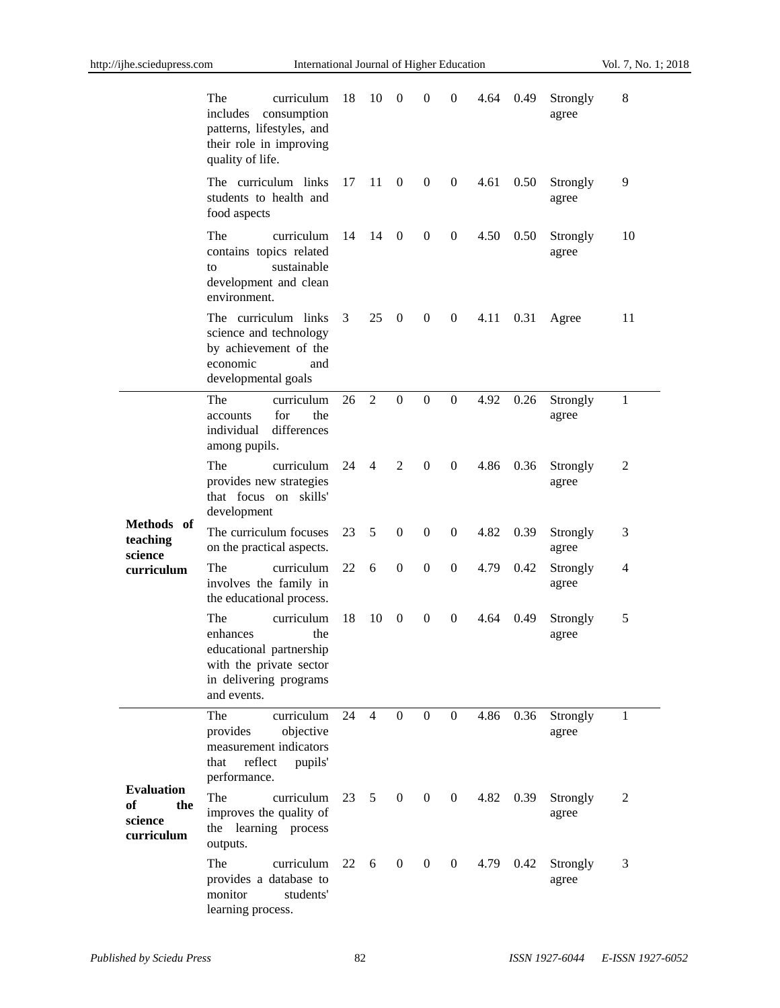|                                                         | The<br>curriculum<br>includes<br>consumption<br>patterns, lifestyles, and<br>their role in improving<br>quality of life.            | 18   | 10              | $\theta$         | $\theta$         | $\boldsymbol{0}$ | 4.64 | 0.49 | Strongly<br>agree | 8  |
|---------------------------------------------------------|-------------------------------------------------------------------------------------------------------------------------------------|------|-----------------|------------------|------------------|------------------|------|------|-------------------|----|
|                                                         | The curriculum links<br>students to health and<br>food aspects                                                                      | 17   | 11              | $\mathbf{0}$     | $\overline{0}$   | $\boldsymbol{0}$ | 4.61 | 0.50 | Strongly<br>agree | 9  |
|                                                         | The<br>curriculum<br>contains topics related<br>sustainable<br>to<br>development and clean<br>environment.                          | 14   | 14              | $\overline{0}$   | $\boldsymbol{0}$ | $\boldsymbol{0}$ | 4.50 | 0.50 | Strongly<br>agree | 10 |
|                                                         | The curriculum links<br>science and technology<br>by achievement of the<br>economic<br>and<br>developmental goals                   | 3    | 25              | $\overline{0}$   | $\boldsymbol{0}$ | $\boldsymbol{0}$ | 4.11 | 0.31 | Agree             | 11 |
| Methods of<br>teaching<br>science<br>curriculum         | The<br>curriculum<br>for<br>the<br>accounts<br>differences<br>individual<br>among pupils.                                           | 26   | 2               | $\boldsymbol{0}$ | $\overline{0}$   | $\mathbf{0}$     | 4.92 | 0.26 | Strongly<br>agree | 1  |
|                                                         | The<br>curriculum<br>provides new strategies<br>that focus on skills'<br>development                                                | 24   | $\overline{4}$  | 2                | $\boldsymbol{0}$ | $\boldsymbol{0}$ | 4.86 | 0.36 | Strongly<br>agree | 2  |
|                                                         | The curriculum focuses<br>on the practical aspects.                                                                                 | 23   | 5               | $\boldsymbol{0}$ | $\mathbf{0}$     | $\boldsymbol{0}$ | 4.82 | 0.39 | Strongly<br>agree | 3  |
|                                                         | The<br>curriculum<br>involves the family in<br>the educational process.                                                             | 22   | 6               | $\overline{0}$   | $\mathbf{0}$     | $\boldsymbol{0}$ | 4.79 | 0.42 | Strongly<br>agree | 4  |
|                                                         | The<br>curriculum<br>enhances<br>the<br>educational partnership<br>with the private sector<br>in delivering programs<br>and events. | 18   | 10              | $\theta$         | $\boldsymbol{0}$ | $\theta$         | 4.64 | 0.49 | Strongly<br>agree | 5  |
| <b>Evaluation</b><br>of<br>the<br>science<br>curriculum | curriculum<br>The<br>objective<br>provides<br>measurement indicators<br>reflect<br>pupils'<br>that<br>performance.                  | 24   | $\overline{4}$  | $\overline{0}$   | $\overline{0}$   | $\overline{0}$   | 4.86 | 0.36 | Strongly<br>agree | 1  |
|                                                         | <b>The</b><br>curriculum<br>improves the quality of<br>the learning process<br>outputs.                                             | 23   | $5\overline{)}$ | $\overline{0}$   | $\overline{0}$   | $\overline{0}$   | 4.82 | 0.39 | Strongly<br>agree | 2  |
|                                                         | The<br>curriculum<br>provides a database to<br>monitor<br>students'<br>learning process.                                            | 22 6 |                 | $\overline{0}$   | $\overline{0}$   | $\overline{0}$   | 4.79 | 0.42 | Strongly<br>agree | 3  |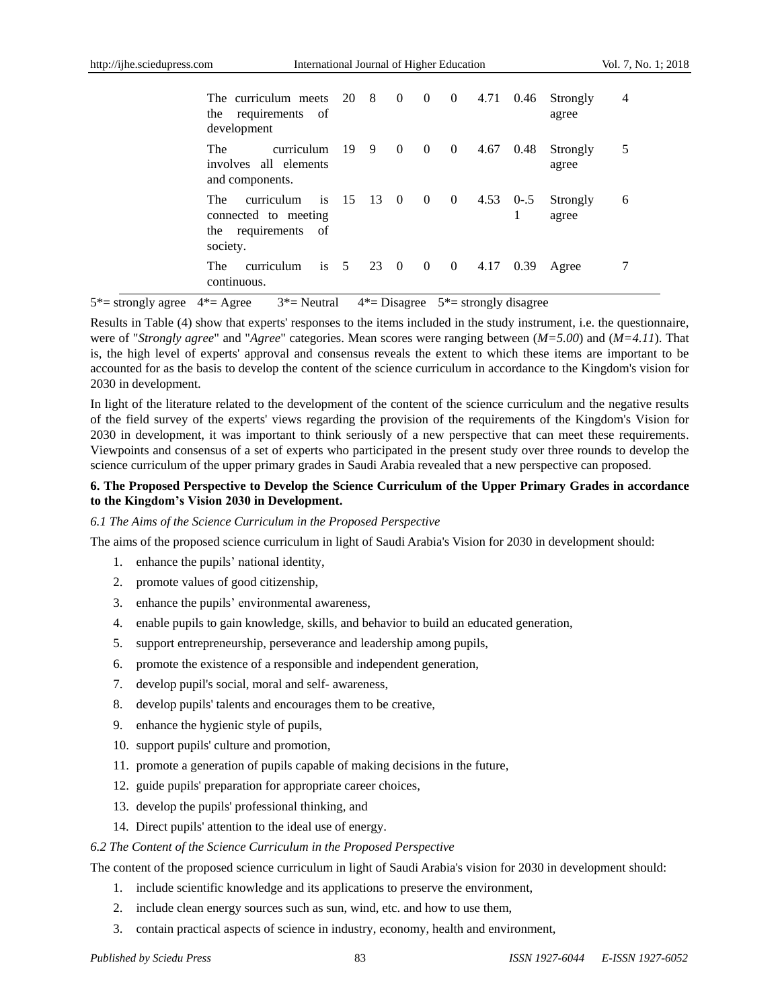| The curriculum meets 20 8 0 0 0 4.71 0.46<br>the requirements of<br>development                 |          |      |                |              |                 |      | Strongly<br>agree | 4 |
|-------------------------------------------------------------------------------------------------|----------|------|----------------|--------------|-----------------|------|-------------------|---|
| The<br>curriculum<br>involves all elements<br>and components.                                   | 19 9 0 0 |      |                |              | 0 $4.67$        | 0.48 | Strongly<br>agree |   |
| curriculum is $15 \t 13 \t 0$<br>The<br>connected to meeting<br>the requirements of<br>society. |          |      | $\overline{0}$ | $\mathbf{0}$ | $4.53 \t 0-0.5$ |      | Strongly<br>agree | 6 |
| is $5$<br>The<br>curriculum<br>continuous.                                                      |          | 23 0 | $\overline{0}$ | $\mathbf{0}$ | 4.17            | 0.39 | Agree             |   |

 $5^*$  = strongly agree  $4^*$  = Agree  $3^*$  = Neutral  $4^*$  = Disagree  $5^*$  = strongly disagree

Results in Table (4) show that experts' responses to the items included in the study instrument, i.e. the questionnaire, were of "*Strongly agree*" and "*Agree*" categories. Mean scores were ranging between (*M=5.00*) and (*M=4.11*). That is, the high level of experts' approval and consensus reveals the extent to which these items are important to be accounted for as the basis to develop the content of the science curriculum in accordance to the Kingdom's vision for 2030 in development.

In light of the literature related to the development of the content of the science curriculum and the negative results of the field survey of the experts' views regarding the provision of the requirements of the Kingdom's Vision for 2030 in development, it was important to think seriously of a new perspective that can meet these requirements. Viewpoints and consensus of a set of experts who participated in the present study over three rounds to develop the science curriculum of the upper primary grades in Saudi Arabia revealed that a new perspective can proposed.

# **6. The Proposed Perspective to Develop the Science Curriculum of the Upper Primary Grades in accordance to the Kingdom's Vision 2030 in Development.**

## *6.1 The Aims of the Science Curriculum in the Proposed Perspective*

The aims of the proposed science curriculum in light of Saudi Arabia's Vision for 2030 in development should:

- 1. enhance the pupils' national identity,
- 2. promote values of good citizenship,
- 3. enhance the pupils' environmental awareness,
- 4. enable pupils to gain knowledge, skills, and behavior to build an educated generation,
- 5. support entrepreneurship, perseverance and leadership among pupils,
- 6. promote the existence of a responsible and independent generation,
- 7. develop pupil's social, moral and self- awareness,
- 8. develop pupils' talents and encourages them to be creative,
- 9. enhance the hygienic style of pupils,
- 10. support pupils' culture and promotion,
- 11. promote a generation of pupils capable of making decisions in the future,
- 12. guide pupils' preparation for appropriate career choices,
- 13. develop the pupils' professional thinking, and
- 14. Direct pupils' attention to the ideal use of energy.

## *6.2 The Content of the Science Curriculum in the Proposed Perspective*

The content of the proposed science curriculum in light of Saudi Arabia's vision for 2030 in development should:

- 1. include scientific knowledge and its applications to preserve the environment,
- 2. include clean energy sources such as sun, wind, etc. and how to use them,
- 3. contain practical aspects of science in industry, economy, health and environment,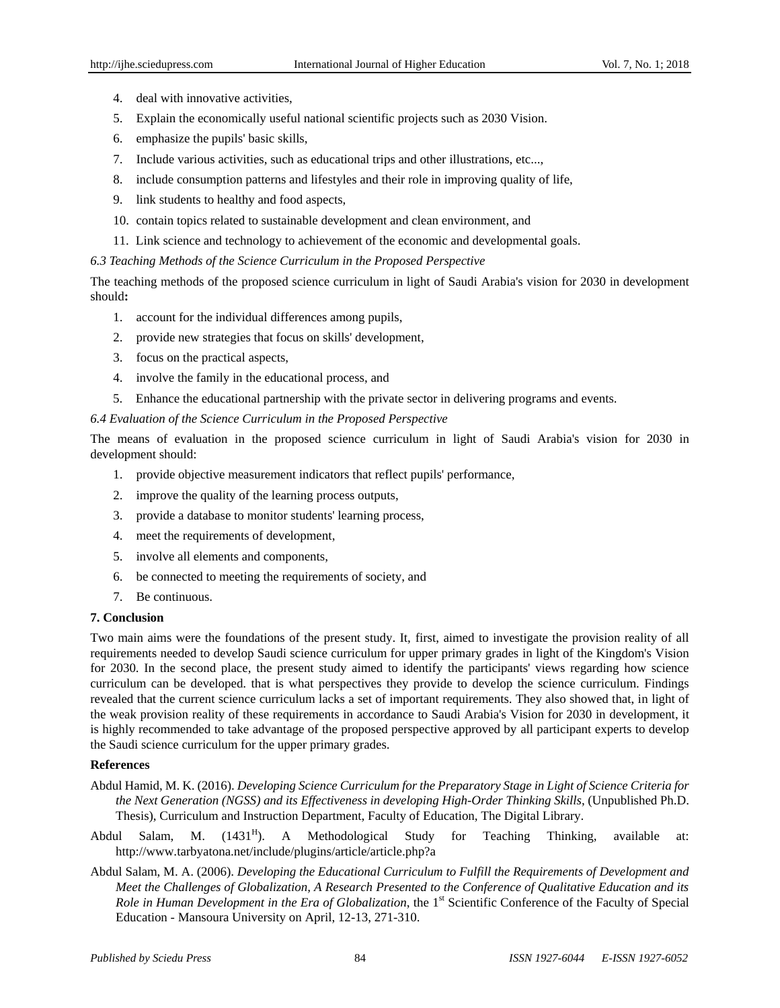- 4. deal with innovative activities,
- 5. Explain the economically useful national scientific projects such as 2030 Vision.
- 6. emphasize the pupils' basic skills,
- 7. Include various activities, such as educational trips and other illustrations, etc...,
- 8. include consumption patterns and lifestyles and their role in improving quality of life,
- 9. link students to healthy and food aspects,
- 10. contain topics related to sustainable development and clean environment, and
- 11. Link science and technology to achievement of the economic and developmental goals.

# *6.3 Teaching Methods of the Science Curriculum in the Proposed Perspective*

The teaching methods of the proposed science curriculum in light of Saudi Arabia's vision for 2030 in development should**:**

- 1. account for the individual differences among pupils,
- 2. provide new strategies that focus on skills' development,
- 3. focus on the practical aspects,
- 4. involve the family in the educational process, and
- 5. Enhance the educational partnership with the private sector in delivering programs and events.

# *6.4 Evaluation of the Science Curriculum in the Proposed Perspective*

The means of evaluation in the proposed science curriculum in light of Saudi Arabia's vision for 2030 in development should:

- 1. provide objective measurement indicators that reflect pupils' performance,
- 2. improve the quality of the learning process outputs,
- 3. provide a database to monitor students' learning process,
- 4. meet the requirements of development,
- 5. involve all elements and components,
- 6. be connected to meeting the requirements of society, and
- 7. Be continuous.

# **7. Conclusion**

Two main aims were the foundations of the present study. It, first, aimed to investigate the provision reality of all requirements needed to develop Saudi science curriculum for upper primary grades in light of the Kingdom's Vision for 2030. In the second place, the present study aimed to identify the participants' views regarding how science curriculum can be developed. that is what perspectives they provide to develop the science curriculum. Findings revealed that the current science curriculum lacks a set of important requirements. They also showed that, in light of the weak provision reality of these requirements in accordance to Saudi Arabia's Vision for 2030 in development, it is highly recommended to take advantage of the proposed perspective approved by all participant experts to develop the Saudi science curriculum for the upper primary grades.

# **References**

- Abdul Hamid, M. K. (2016). *Developing Science Curriculum for the Preparatory Stage in Light of Science Criteria for the Next Generation (NGSS) and its Effectiveness in developing High-Order Thinking Skills*, (Unpublished Ph.D. Thesis), Curriculum and Instruction Department, Faculty of Education, The Digital Library.
- Abdul Salam, M.  $(1431^H)$ . ). A Methodological Study for Teaching Thinking, available at: <http://www.tarbyatona.net/include/plugins/article/article.php?a>
- Abdul Salam, M. A. (2006). *Developing the Educational Curriculum to Fulfill the Requirements of Development and Meet the Challenges of Globalization, A Research Presented to the Conference of Qualitative Education and its Role in Human Development in the Era of Globalization*, the 1<sup>st</sup> Scientific Conference of the Faculty of Special Education - Mansoura University on April, 12-13, 271-310.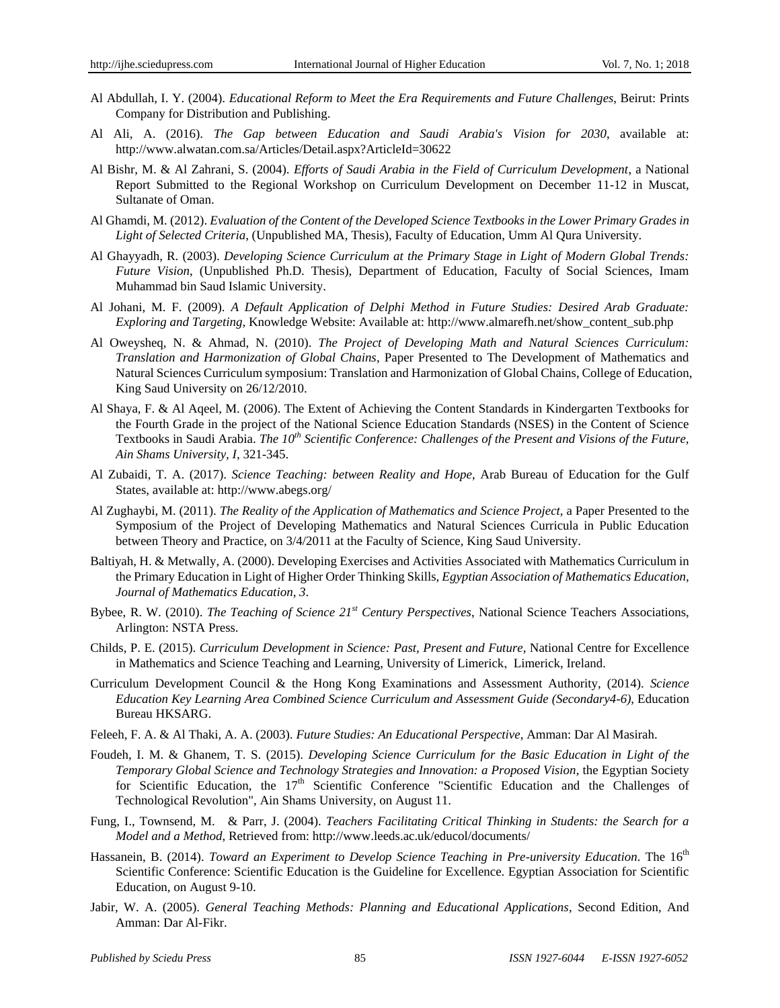- Al Abdullah, I. Y. (2004). *Educational Reform to Meet the Era Requirements and Future Challenges*, Beirut: Prints Company for Distribution and Publishing.
- Al Ali, A. (2016). *The Gap between Education and Saudi Arabia's Vision for 2030*, available at: <http://www.alwatan.com.sa/Articles/Detail.aspx?ArticleId=30622>
- Al Bishr, M. & Al Zahrani, S. (2004). *Efforts of Saudi Arabia in the Field of Curriculum Development*, a National Report Submitted to the Regional Workshop on Curriculum Development on December 11-12 in Muscat, Sultanate of Oman.
- Al Ghamdi, M. (2012). *Evaluation of the Content of the Developed Science Textbooks in the Lower Primary Grades in Light of Selected Criteria*, (Unpublished MA, Thesis), Faculty of Education, Umm Al Qura University.
- Al Ghayyadh, R. (2003). *Developing Science Curriculum at the Primary Stage in Light of Modern Global Trends: Future Vision*, (Unpublished Ph.D. Thesis), Department of Education, Faculty of Social Sciences, Imam Muhammad bin Saud Islamic University.
- Al Johani, M. F. (2009). *A Default Application of Delphi Method in Future Studies: Desired Arab Graduate: Exploring and Targeting*, Knowledge Website: Available at: [http://www.almarefh.net/show\\_content\\_sub.php](http://www.almarefh.net/show_content_sub.php)
- Al Oweysheq, N. & Ahmad, N. (2010). *The Project of Developing Math and Natural Sciences Curriculum: Translation and Harmonization of Global Chains*, Paper Presented to The Development of Mathematics and Natural Sciences Curriculum symposium: Translation and Harmonization of Global Chains, College of Education, King Saud University on 26/12/2010.
- Al Shaya, F. & Al Aqeel, M. (2006). The Extent of Achieving the Content Standards in Kindergarten Textbooks for the Fourth Grade in the project of the National Science Education Standards (NSES) in the Content of Science Textbooks in Saudi Arabia. *The 10th Scientific Conference: Challenges of the Present and Visions of the Future, Ain Shams University, I*, 321-345.
- Al Zubaidi, T. A. (2017). *Science Teaching: between Reality and Hope*, Arab Bureau of Education for the Gulf States, available at:<http://www.abegs.org/>
- Al Zughaybi, M. (2011). *The Reality of the Application of Mathematics and Science Project,* a Paper Presented to the Symposium of the Project of Developing Mathematics and Natural Sciences Curricula in Public Education between Theory and Practice, on 3/4/2011 at the Faculty of Science, King Saud University.
- Baltiyah, H. & Metwally, A. (2000). Developing Exercises and Activities Associated with Mathematics Curriculum in the Primary Education in Light of Higher Order Thinking Skills, *Egyptian Association of Mathematics Education, Journal of Mathematics Education, 3*.
- Bybee, R. W. (2010). *The Teaching of Science 21st Century Perspectives*, National Science Teachers Associations, Arlington: NSTA Press.
- Childs, P. E. (2015). *Curriculum Development in Science: Past, Present and Future*, National Centre for Excellence in Mathematics and Science Teaching and Learning, University of Limerick, Limerick, Ireland.
- Curriculum Development Council & the Hong Kong Examinations and Assessment Authority, (2014). *Science Education Key Learning Area Combined Science Curriculum and Assessment Guide (Secondary4-6)*, Education Bureau HKSARG.
- Feleeh, F. A. & Al Thaki, A. A. (2003). *Future Studies: An Educational Perspective*, Amman: Dar Al Masirah.
- Foudeh, I. M. & Ghanem, T. S. (2015). *Developing Science Curriculum for the Basic Education in Light of the Temporary Global Science and Technology Strategies and Innovation: a Proposed Vision, the Egyptian Society* for Scientific Education, the 17<sup>th</sup> Scientific Conference "Scientific Education and the Challenges of Technological Revolution", Ain Shams University, on August 11.
- Fung, I., Townsend, M. & Parr, J. (2004). *Teachers Facilitating Critical Thinking in Students: the Search for a Model and a Method*, Retrieved from[: http://www.leeds.ac.uk/educol/documents/](http://www.leeds.ac.uk/educol/documents/00003%20715.htm)
- Hassanein, B. (2014). *Toward an Experiment to Develop Science Teaching in Pre-university Education*. The 16<sup>th</sup> Scientific Conference: Scientific Education is the Guideline for Excellence. Egyptian Association for Scientific Education, on August 9-10.
- Jabir, W. A. (2005). *General Teaching Methods: Planning and Educational Applications*, Second Edition, And Amman: Dar Al-Fikr.